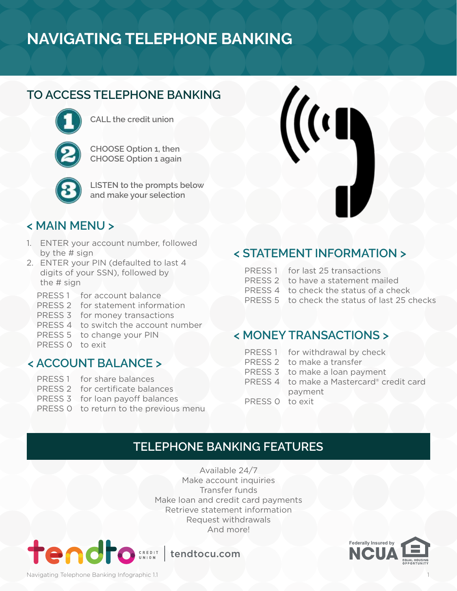# **NAVIGATING TELEPHONE BANKING**

## **TO ACCESS TELEPHONE BANKING**



**CALL the credit union**

**CHOOSE Option 1, then CHOOSE Option 1 again**



**LISTEN to the prompts below and make your selection**

#### **< MAIN MENU >**

- 1. ENTER your account number, followed by the # sign
- 2. ENTER your PIN (defaulted to last 4 digits of your SSN), followed by the # sign
	- PRESS 1 for account balance
	- PRESS 2 for statement information
	- PRESS 3 for money transactions
	- PRESS 4 to switch the account number
	- PRESS 5 to change your PIN
	- PRESS 0 to exit

#### **< ACCOUNT BALANCE >**

- PRESS 1 for share balances
- PRESS 2 for certificate balances
- PRESS 3 for loan payoff balances
- PRESS 0 to return to the previous menu

## **< STATEMENT INFORMATION >**

 $\frac{1}{2}$ 

- PRESS 1 for last 25 transactions
- PRESS 2 to have a statement mailed
- PRESS 4 to check the status of a check
- PRESS 5 to check the status of last 25 checks

#### **< MONEY TRANSACTIONS >**

- PRESS 1 for withdrawal by check
- PRESS 2 to make a transfer
- PRESS 3 to make a loan payment
- PRESS 4 to make a Mastercard® credit card payment
- PRESS 0 to exit

## **TELEPHONE BANKING FEATURES**

Available 24/7 Make account inquiries Transfer funds Make loan and credit card payments Retrieve statement information Request withdrawals And more!



tendtocu.com



Navigating Telephone Banking Infographic 1.1